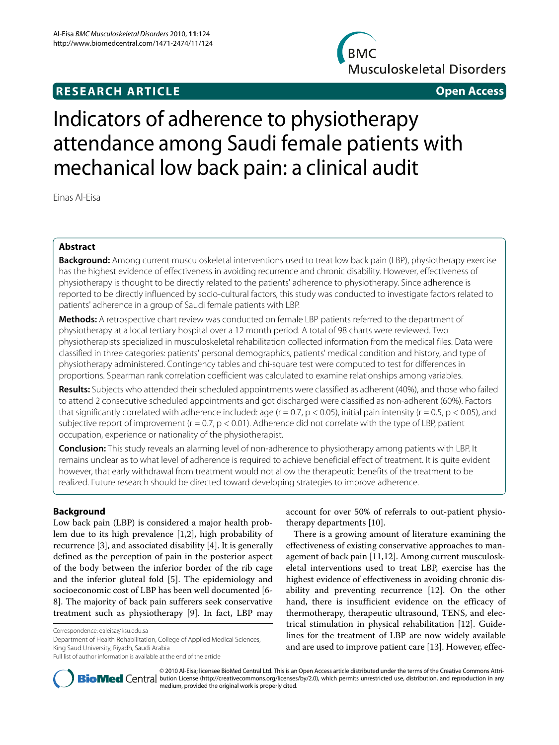## **RESEARCH ARTICLE Open Access**

**BMC Musculoskeletal Disorders** 

# Indicators of adherence to physiotherapy attendance among Saudi female patients with mechanical low back pain: a clinical audit

Einas Al-Eisa

## **Abstract**

**Background:** Among current musculoskeletal interventions used to treat low back pain (LBP), physiotherapy exercise has the highest evidence of effectiveness in avoiding recurrence and chronic disability. However, effectiveness of physiotherapy is thought to be directly related to the patients' adherence to physiotherapy. Since adherence is reported to be directly influenced by socio-cultural factors, this study was conducted to investigate factors related to patients' adherence in a group of Saudi female patients with LBP.

**Methods:** A retrospective chart review was conducted on female LBP patients referred to the department of physiotherapy at a local tertiary hospital over a 12 month period. A total of 98 charts were reviewed. Two physiotherapists specialized in musculoskeletal rehabilitation collected information from the medical files. Data were classified in three categories: patients' personal demographics, patients' medical condition and history, and type of physiotherapy administered. Contingency tables and chi-square test were computed to test for differences in proportions. Spearman rank correlation coefficient was calculated to examine relationships among variables.

**Results:** Subjects who attended their scheduled appointments were classified as adherent (40%), and those who failed to attend 2 consecutive scheduled appointments and got discharged were classified as non-adherent (60%). Factors that significantly correlated with adherence included: age ( $r = 0.7$ ,  $p < 0.05$ ), initial pain intensity ( $r = 0.5$ ,  $p < 0.05$ ), and subjective report of improvement ( $r = 0.7$ ,  $p < 0.01$ ). Adherence did not correlate with the type of LBP, patient occupation, experience or nationality of the physiotherapist.

**Conclusion:** This study reveals an alarming level of non-adherence to physiotherapy among patients with LBP. It remains unclear as to what level of adherence is required to achieve beneficial effect of treatment. It is quite evident however, that early withdrawal from treatment would not allow the therapeutic benefits of the treatment to be realized. Future research should be directed toward developing strategies to improve adherence.

## **Background**

Low back pain (LBP) is considered a major health problem due to its high prevalence [[1,](#page-5-0)[2\]](#page-5-1), high probability of recurrence [\[3](#page-5-2)], and associated disability [[4](#page-5-3)]. It is generally defined as the perception of pain in the posterior aspect of the body between the inferior border of the rib cage and the inferior gluteal fold [[5\]](#page-5-4). The epidemiology and socioeconomic cost of LBP has been well documented [\[6-](#page-5-5) [8\]](#page-5-6). The majority of back pain sufferers seek conservative treatment such as physiotherapy [\[9](#page-5-7)]. In fact, LBP may

Department of Health Rehabilitation, College of Applied Medical Sciences, King Saud University, Riyadh, Saudi Arabia

account for over 50% of referrals to out-patient physiotherapy departments [\[10](#page-5-8)].

There is a growing amount of literature examining the effectiveness of existing conservative approaches to management of back pain [[11,](#page-5-9)[12\]](#page-5-10). Among current musculoskeletal interventions used to treat LBP, exercise has the highest evidence of effectiveness in avoiding chronic disability and preventing recurrence [[12](#page-5-10)]. On the other hand, there is insufficient evidence on the efficacy of thermotherapy, therapeutic ultrasound, TENS, and electrical stimulation in physical rehabilitation [[12\]](#page-5-10). Guidelines for the treatment of LBP are now widely available and are used to improve patient care [[13\]](#page-5-11). However, effec-



© 2010 Al-Eisa; licensee BioMed Central Ltd. This is an Open Access article distributed under the terms of the Creative Commons Attri-**BioMed** Central bution License (http://creativecommons.org/licenses/by/2.0), which permits unrestricted use, distribution, and reproduction in any medium, provided the original work is properly cited.

Correspondence: ealeisa@ksu.edu.sa

Full list of author information is available at the end of the article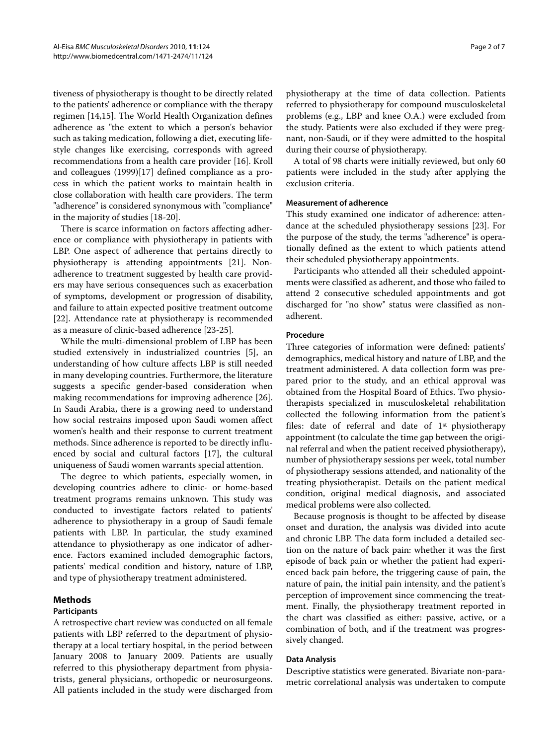tiveness of physiotherapy is thought to be directly related to the patients' adherence or compliance with the therapy regimen [\[14](#page-5-12)[,15](#page-5-13)]. The World Health Organization defines adherence as "the extent to which a person's behavior such as taking medication, following a diet, executing lifestyle changes like exercising, corresponds with agreed recommendations from a health care provider [[16\]](#page-5-14). Kroll and colleagues (1999)[[17](#page-5-15)] defined compliance as a process in which the patient works to maintain health in close collaboration with health care providers. The term "adherence" is considered synonymous with "compliance" in the majority of studies [[18](#page-5-16)-[20\]](#page-6-0).

There is scarce information on factors affecting adherence or compliance with physiotherapy in patients with LBP. One aspect of adherence that pertains directly to physiotherapy is attending appointments [[21\]](#page-6-1). Nonadherence to treatment suggested by health care providers may have serious consequences such as exacerbation of symptoms, development or progression of disability, and failure to attain expected positive treatment outcome [[22\]](#page-6-2). Attendance rate at physiotherapy is recommended as a measure of clinic-based adherence [\[23](#page-6-3)-[25](#page-6-4)].

While the multi-dimensional problem of LBP has been studied extensively in industrialized countries [[5\]](#page-5-4), an understanding of how culture affects LBP is still needed in many developing countries. Furthermore, the literature suggests a specific gender-based consideration when making recommendations for improving adherence [\[26](#page-6-5)]. In Saudi Arabia, there is a growing need to understand how social restrains imposed upon Saudi women affect women's health and their response to current treatment methods. Since adherence is reported to be directly influenced by social and cultural factors [[17\]](#page-5-15), the cultural uniqueness of Saudi women warrants special attention.

The degree to which patients, especially women, in developing countries adhere to clinic- or home-based treatment programs remains unknown. This study was conducted to investigate factors related to patients' adherence to physiotherapy in a group of Saudi female patients with LBP. In particular, the study examined attendance to physiotherapy as one indicator of adherence. Factors examined included demographic factors, patients' medical condition and history, nature of LBP, and type of physiotherapy treatment administered.

## **Methods**

## **Participants**

A retrospective chart review was conducted on all female patients with LBP referred to the department of physiotherapy at a local tertiary hospital, in the period between January 2008 to January 2009. Patients are usually referred to this physiotherapy department from physiatrists, general physicians, orthopedic or neurosurgeons. All patients included in the study were discharged from

physiotherapy at the time of data collection. Patients referred to physiotherapy for compound musculoskeletal problems (e.g., LBP and knee O.A.) were excluded from the study. Patients were also excluded if they were pregnant, non-Saudi, or if they were admitted to the hospital during their course of physiotherapy.

A total of 98 charts were initially reviewed, but only 60 patients were included in the study after applying the exclusion criteria.

#### **Measurement of adherence**

This study examined one indicator of adherence: attendance at the scheduled physiotherapy sessions [[23\]](#page-6-3). For the purpose of the study, the terms "adherence" is operationally defined as the extent to which patients attend their scheduled physiotherapy appointments.

Participants who attended all their scheduled appointments were classified as adherent, and those who failed to attend 2 consecutive scheduled appointments and got discharged for "no show" status were classified as nonadherent.

#### **Procedure**

Three categories of information were defined: patients' demographics, medical history and nature of LBP, and the treatment administered. A data collection form was prepared prior to the study, and an ethical approval was obtained from the Hospital Board of Ethics. Two physiotherapists specialized in musculoskeletal rehabilitation collected the following information from the patient's files: date of referral and date of 1<sup>st</sup> physiotherapy appointment (to calculate the time gap between the original referral and when the patient received physiotherapy), number of physiotherapy sessions per week, total number of physiotherapy sessions attended, and nationality of the treating physiotherapist. Details on the patient medical condition, original medical diagnosis, and associated medical problems were also collected.

Because prognosis is thought to be affected by disease onset and duration, the analysis was divided into acute and chronic LBP. The data form included a detailed section on the nature of back pain: whether it was the first episode of back pain or whether the patient had experienced back pain before, the triggering cause of pain, the nature of pain, the initial pain intensity, and the patient's perception of improvement since commencing the treatment. Finally, the physiotherapy treatment reported in the chart was classified as either: passive, active, or a combination of both, and if the treatment was progressively changed.

## **Data Analysis**

Descriptive statistics were generated. Bivariate non-parametric correlational analysis was undertaken to compute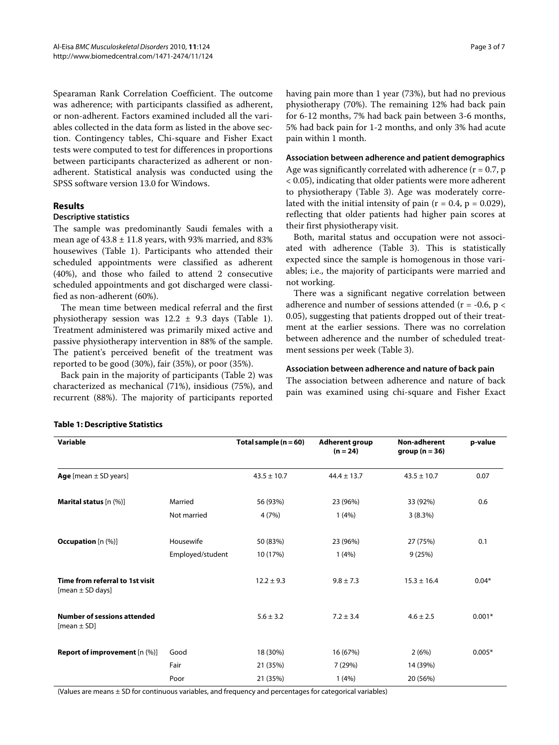Spearaman Rank Correlation Coefficient. The outcome was adherence; with participants classified as adherent, or non-adherent. Factors examined included all the variables collected in the data form as listed in the above section. Contingency tables, Chi-square and Fisher Exact tests were computed to test for differences in proportions between participants characterized as adherent or nonadherent. Statistical analysis was conducted using the SPSS software version 13.0 for Windows.

## **Results**

## **Descriptive statistics**

The sample was predominantly Saudi females with a mean age of  $43.8 \pm 11.8$  years, with 93% married, and 83% housewives (Table 1). Participants who attended their scheduled appointments were classified as adherent (40%), and those who failed to attend 2 consecutive scheduled appointments and got discharged were classified as non-adherent (60%).

The mean time between medical referral and the first physiotherapy session was  $12.2 \pm 9.3$  days (Table 1). Treatment administered was primarily mixed active and passive physiotherapy intervention in 88% of the sample. The patient's perceived benefit of the treatment was reported to be good (30%), fair (35%), or poor (35%).

Back pain in the majority of participants (Table 2) was characterized as mechanical (71%), insidious (75%), and recurrent (88%). The majority of participants reported

## **Association between adherence and patient demographics**

pain within 1 month.

Age was significantly correlated with adherence  $(r = 0.7, p)$ < 0.05), indicating that older patients were more adherent to physiotherapy (Table 3). Age was moderately correlated with the initial intensity of pain ( $r = 0.4$ ,  $p = 0.029$ ), reflecting that older patients had higher pain scores at their first physiotherapy visit.

Both, marital status and occupation were not associated with adherence (Table [3](#page-3-0)). This is statistically expected since the sample is homogenous in those variables; i.e., the majority of participants were married and not working.

There was a significant negative correlation between adherence and number of sessions attended ( $r = -0.6$ ,  $p <$ 0.05), suggesting that patients dropped out of their treatment at the earlier sessions. There was no correlation between adherence and the number of scheduled treatment sessions per week (Table [3](#page-3-0)).

#### **Association between adherence and nature of back pain**

The association between adherence and nature of back pain was examined using chi-square and Fisher Exact

| Variable                                                |                  | Total sample $(n = 60)$ | <b>Adherent group</b><br>$(n = 24)$ | Non-adherent<br>group ( $n = 36$ ) | p-value  |
|---------------------------------------------------------|------------------|-------------------------|-------------------------------------|------------------------------------|----------|
| Age [mean $\pm$ SD years]                               |                  | $43.5 \pm 10.7$         | $44.4 \pm 13.7$                     | $43.5 \pm 10.7$                    | 0.07     |
| <b>Marital status</b> [n (%)]                           | Married          | 56 (93%)                | 23 (96%)                            | 33 (92%)                           | 0.6      |
|                                                         | Not married      | 4 (7%)                  | 1(4%)                               | 3(8.3%)                            |          |
| <b>Occupation</b> [n (%)]                               | Housewife        | 50 (83%)                | 23 (96%)                            | 27 (75%)                           | 0.1      |
|                                                         | Employed/student | 10 (17%)                | 1(4%)                               | 9(25%)                             |          |
| Time from referral to 1st visit<br>[mean $\pm$ SD days] |                  | $12.2 \pm 9.3$          | $9.8 \pm 7.3$                       | $15.3 \pm 16.4$                    | $0.04*$  |
| <b>Number of sessions attended</b><br>[mean $\pm$ SD]   |                  | $5.6 \pm 3.2$           | $7.2 \pm 3.4$                       | $4.6 \pm 2.5$                      | $0.001*$ |
| <b>Report of improvement</b> [n (%)]                    | Good             | 18 (30%)                | 16 (67%)                            | 2(6%)                              | $0.005*$ |
|                                                         | Fair             | 21 (35%)                | 7 (29%)                             | 14 (39%)                           |          |
|                                                         | Poor             | 21 (35%)                | 1(4%)                               | 20 (56%)                           |          |

#### **Table 1: Descriptive Statistics**

(Values are means ± SD for continuous variables, and frequency and percentages for categorical variables)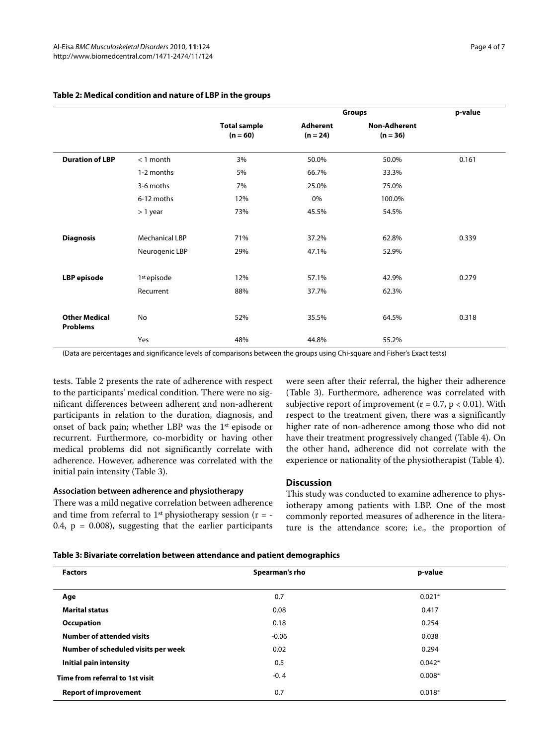|                                         |                         |                                   |                               | <b>Groups</b>                     | p-value |
|-----------------------------------------|-------------------------|-----------------------------------|-------------------------------|-----------------------------------|---------|
|                                         |                         | <b>Total sample</b><br>$(n = 60)$ | <b>Adherent</b><br>$(n = 24)$ | <b>Non-Adherent</b><br>$(n = 36)$ |         |
| <b>Duration of LBP</b>                  | $<$ 1 month             | 3%                                | 50.0%                         | 50.0%                             | 0.161   |
|                                         | 1-2 months              | 5%                                | 66.7%                         | 33.3%                             |         |
|                                         | 3-6 moths               | 7%                                | 25.0%                         | 75.0%                             |         |
|                                         | 6-12 moths              | 12%                               | 0%                            | 100.0%                            |         |
|                                         | $> 1$ year              | 73%                               | 45.5%                         | 54.5%                             |         |
| <b>Diagnosis</b>                        | <b>Mechanical LBP</b>   | 71%                               | 37.2%                         | 62.8%                             | 0.339   |
|                                         | Neurogenic LBP          | 29%                               | 47.1%                         | 52.9%                             |         |
|                                         |                         |                                   |                               |                                   |         |
| <b>LBP</b> episode                      | 1 <sup>st</sup> episode | 12%                               | 57.1%                         | 42.9%                             | 0.279   |
|                                         | Recurrent               | 88%                               | 37.7%                         | 62.3%                             |         |
| <b>Other Medical</b><br><b>Problems</b> | No                      | 52%                               | 35.5%                         | 64.5%                             | 0.318   |
|                                         | Yes                     | 48%                               | 44.8%                         | 55.2%                             |         |

## <span id="page-3-1"></span>**Table 2: Medical condition and nature of LBP in the groups**

(Data are percentages and significance levels of comparisons between the groups using Chi-square and Fisher's Exact tests)

tests. Table [2](#page-3-1) presents the rate of adherence with respect to the participants' medical condition. There were no significant differences between adherent and non-adherent participants in relation to the duration, diagnosis, and onset of back pain; whether LBP was the 1st episode or recurrent. Furthermore, co-morbidity or having other medical problems did not significantly correlate with adherence. However, adherence was correlated with the initial pain intensity (Table 3).

#### **Association between adherence and physiotherapy**

There was a mild negative correlation between adherence and time from referral to  $1<sup>st</sup>$  physiotherapy session (r = -0.4,  $p = 0.008$ ), suggesting that the earlier participants were seen after their referral, the higher their adherence (Table 3). Furthermore, adherence was correlated with subjective report of improvement ( $r = 0.7$ ,  $p < 0.01$ ). With respect to the treatment given, there was a significantly higher rate of non-adherence among those who did not have their treatment progressively changed (Table [4](#page-4-0)). On the other hand, adherence did not correlate with the experience or nationality of the physiotherapist (Table 4).

#### **Discussion**

This study was conducted to examine adherence to physiotherapy among patients with LBP. One of the most commonly reported measures of adherence in the literature is the attendance score; i.e., the proportion of

#### <span id="page-3-0"></span>**Table 3: Bivariate correlation between attendance and patient demographics**

| <b>Factors</b>                      | Spearman's rho | p-value  |  |
|-------------------------------------|----------------|----------|--|
|                                     |                |          |  |
| Age                                 | 0.7            | $0.021*$ |  |
| <b>Marital status</b>               | 0.08           | 0.417    |  |
| Occupation                          | 0.18           | 0.254    |  |
| <b>Number of attended visits</b>    | $-0.06$        | 0.038    |  |
| Number of scheduled visits per week | 0.02           | 0.294    |  |
| Initial pain intensity              | 0.5            | $0.042*$ |  |
| Time from referral to 1st visit     | $-0.4$         | $0.008*$ |  |
| <b>Report of improvement</b>        | 0.7            | $0.018*$ |  |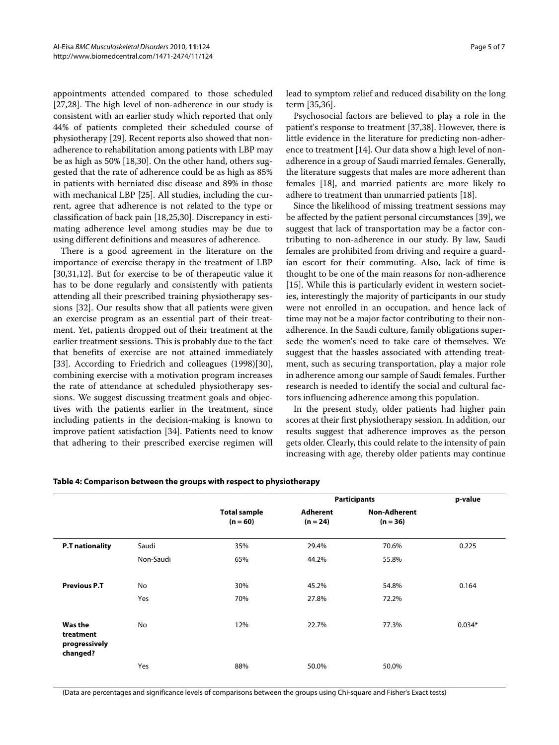appointments attended compared to those scheduled [[27,](#page-6-6)[28\]](#page-6-7). The high level of non-adherence in our study is consistent with an earlier study which reported that only 44% of patients completed their scheduled course of physiotherapy [[29\]](#page-6-8). Recent reports also showed that nonadherence to rehabilitation among patients with LBP may be as high as 50% [[18,](#page-5-16)[30\]](#page-6-9). On the other hand, others suggested that the rate of adherence could be as high as 85% in patients with herniated disc disease and 89% in those with mechanical LBP [\[25\]](#page-6-4). All studies, including the current, agree that adherence is not related to the type or classification of back pain [\[18](#page-5-16)[,25](#page-6-4)[,30](#page-6-9)]. Discrepancy in estimating adherence level among studies may be due to using different definitions and measures of adherence.

There is a good agreement in the literature on the importance of exercise therapy in the treatment of LBP [[30,](#page-6-9)[31,](#page-6-10)[12\]](#page-5-10). But for exercise to be of therapeutic value it has to be done regularly and consistently with patients attending all their prescribed training physiotherapy sessions [[32\]](#page-6-11). Our results show that all patients were given an exercise program as an essential part of their treatment. Yet, patients dropped out of their treatment at the earlier treatment sessions. This is probably due to the fact that benefits of exercise are not attained immediately [[33\]](#page-6-12). According to Friedrich and colleagues (1998)[\[30](#page-6-9)], combining exercise with a motivation program increases the rate of attendance at scheduled physiotherapy sessions. We suggest discussing treatment goals and objectives with the patients earlier in the treatment, since including patients in the decision-making is known to improve patient satisfaction [[34](#page-6-13)]. Patients need to know that adhering to their prescribed exercise regimen will lead to symptom relief and reduced disability on the long term [[35,](#page-6-14)[36\]](#page-6-15).

Psychosocial factors are believed to play a role in the patient's response to treatment [\[37](#page-6-16),[38](#page-6-17)]. However, there is little evidence in the literature for predicting non-adherence to treatment [[14\]](#page-5-12). Our data show a high level of nonadherence in a group of Saudi married females. Generally, the literature suggests that males are more adherent than females [[18\]](#page-5-16), and married patients are more likely to adhere to treatment than unmarried patients [[18\]](#page-5-16).

Since the likelihood of missing treatment sessions may be affected by the patient personal circumstances [[39\]](#page-6-18), we suggest that lack of transportation may be a factor contributing to non-adherence in our study. By law, Saudi females are prohibited from driving and require a guardian escort for their commuting. Also, lack of time is thought to be one of the main reasons for non-adherence [[15\]](#page-5-13). While this is particularly evident in western societies, interestingly the majority of participants in our study were not enrolled in an occupation, and hence lack of time may not be a major factor contributing to their nonadherence. In the Saudi culture, family obligations supersede the women's need to take care of themselves. We suggest that the hassles associated with attending treatment, such as securing transportation, play a major role in adherence among our sample of Saudi females. Further research is needed to identify the social and cultural factors influencing adherence among this population.

In the present study, older patients had higher pain scores at their first physiotherapy session. In addition, our results suggest that adherence improves as the person gets older. Clearly, this could relate to the intensity of pain increasing with age, thereby older patients may continue

|                                                          |           |                                   |                               | <b>Participants</b>               |          |
|----------------------------------------------------------|-----------|-----------------------------------|-------------------------------|-----------------------------------|----------|
|                                                          |           | <b>Total sample</b><br>$(n = 60)$ | <b>Adherent</b><br>$(n = 24)$ | <b>Non-Adherent</b><br>$(n = 36)$ |          |
| <b>P.T</b> nationality                                   | Saudi     | 35%                               | 29.4%                         | 70.6%                             | 0.225    |
|                                                          | Non-Saudi | 65%                               | 44.2%                         | 55.8%                             |          |
| <b>Previous P.T</b>                                      | <b>No</b> | 30%                               | 45.2%                         | 54.8%                             | 0.164    |
|                                                          | Yes       | 70%                               | 27.8%                         | 72.2%                             |          |
| <b>Was the</b><br>treatment<br>progressively<br>changed? | <b>No</b> | 12%                               | 22.7%                         | 77.3%                             | $0.034*$ |
|                                                          | Yes       | 88%                               | 50.0%                         | 50.0%                             |          |

#### <span id="page-4-0"></span>**Table 4: Comparison between the groups with respect to physiotherapy**

(Data are percentages and significance levels of comparisons between the groups using Chi-square and Fisher's Exact tests)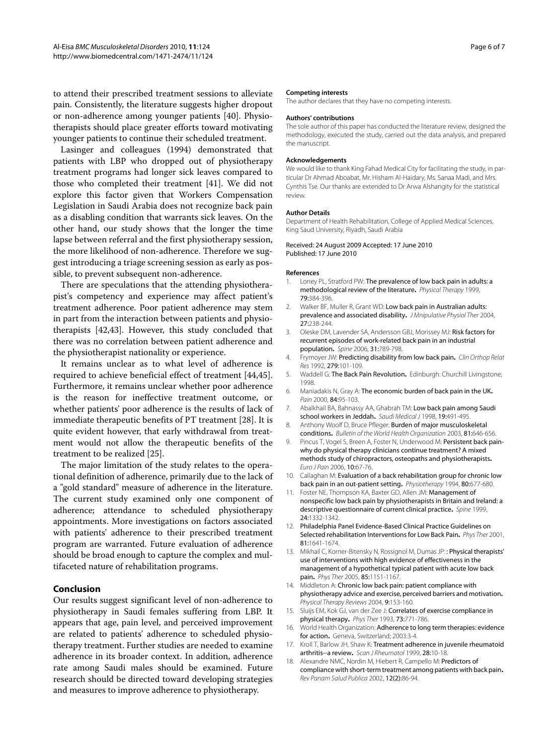to attend their prescribed treatment sessions to alleviate pain. Consistently, the literature suggests higher dropout or non-adherence among younger patients [\[40](#page-6-19)]. Physiotherapists should place greater efforts toward motivating younger patients to continue their scheduled treatment.

Lasinger and colleagues (1994) demonstrated that patients with LBP who dropped out of physiotherapy treatment programs had longer sick leaves compared to those who completed their treatment [\[41](#page-6-20)]. We did not explore this factor given that Workers Compensation Legislation in Saudi Arabia does not recognize back pain as a disabling condition that warrants sick leaves. On the other hand, our study shows that the longer the time lapse between referral and the first physiotherapy session, the more likelihood of non-adherence. Therefore we suggest introducing a triage screening session as early as possible, to prevent subsequent non-adherence.

There are speculations that the attending physiotherapist's competency and experience may affect patient's treatment adherence. Poor patient adherence may stem in part from the interaction between patients and physiotherapists [[42,](#page-6-21)[43\]](#page-6-22). However, this study concluded that there was no correlation between patient adherence and the physiotherapist nationality or experience.

It remains unclear as to what level of adherence is required to achieve beneficial effect of treatment [\[44](#page-6-23)[,45](#page-6-24)]. Furthermore, it remains unclear whether poor adherence is the reason for ineffective treatment outcome, or whether patients' poor adherence is the results of lack of immediate therapeutic benefits of PT treatment [[28\]](#page-6-7). It is quite evident however, that early withdrawal from treatment would not allow the therapeutic benefits of the treatment to be realized [[25\]](#page-6-4).

The major limitation of the study relates to the operational definition of adherence, primarily due to the lack of a "gold standard" measure of adherence in the literature. The current study examined only one component of adherence; attendance to scheduled physiotherapy appointments. More investigations on factors associated with patients' adherence to their prescribed treatment program are warranted. Future evaluation of adherence should be broad enough to capture the complex and multifaceted nature of rehabilitation programs.

#### **Conclusion**

Our results suggest significant level of non-adherence to physiotherapy in Saudi females suffering from LBP. It appears that age, pain level, and perceived improvement are related to patients' adherence to scheduled physiotherapy treatment. Further studies are needed to examine adherence in its broader context. In addition, adherence rate among Saudi males should be examined. Future research should be directed toward developing strategies and measures to improve adherence to physiotherapy.

#### **Competing interests**

The author declares that they have no competing interests.

#### **Authors' contributions**

The sole author of this paper has conducted the literature review, designed the methodology, executed the study, carried out the data analysis, and prepared the manuscript.

#### **Acknowledgements**

We would like to thank King Fahad Medical City for facilitating the study, in particular Dr Ahmad Aboabat, Mr. Hisham Al-Haidary, Ms. Sanaa Madi, and Mrs. Cynthis Tse. Our thanks are extended to Dr Arwa Alshangity for the statistical review.

#### **Author Details**

Department of Health Rehabilitation, College of Applied Medical Sciences, King Saud University, Riyadh, Saudi Arabia

#### Received: 24 August 2009 Accepted: 17 June 2010 Published: 17 June 2010

#### **References**

- <span id="page-5-0"></span>1. Loney PL, Stratford PW: The prevalence of low back pain in adults: a methodological review of the literature**.** Physical Therapy 1999, 79:384-396.
- <span id="page-5-1"></span>2. Walker BF, Muller R, Grant WD: Low back pain in Australian adults: prevalence and associated disability**.** J Mnipulative Physiol Ther 2004, 27:238-244.
- <span id="page-5-2"></span>3. Oleske DM, Lavender SA, Andersson GBJ, Morissey MJ: Risk factors for recurrent episodes of work-related back pain in an industrial population**[.](http://www.ncbi.nlm.nih.gov/entrez/query.fcgi?cmd=Retrieve&db=PubMed&dopt=Abstract&list_uids=16582853)** Spine 2006, 31:789-798.
- <span id="page-5-3"></span>4. Frymoyer JW: Predicting disability from low back pain**.** Clin Orthop Relat Res 1992, 279:101-109.
- <span id="page-5-4"></span>5. Waddell G: The Back Pain Revolution**.** Edinburgh: Churchill Livingstone; 1998.
- <span id="page-5-5"></span>6. Maniadakis N, Gray A: The economic burden of back pain in the UK**.** Pain 2000, 84:95-103.
- 7. Abalkhail BA, Bahnassy AA, Ghabrah TM: Low back pain among Saudi school workers in Jeddah. Saudi Medical J 1998, 19:491-495.
- <span id="page-5-6"></span>8. Anthony Woolf D, Bruce Pfleger: Burden of major musculoskeletal conditions**.** Bulletin of the World Health Organization 2003, 81:646-656.
- <span id="page-5-7"></span>9. Pincus T, Vogel S, Breen A, Foster N, Underwood M: Persistent back painwhy do physical therapy clinicians continue treatment? A mixed methods study of chiropractors, osteopaths and physiotherapists**.** Euro J Pain 2006, 10:67-76.
- <span id="page-5-8"></span>10. Callaghan M: Evaluation of a back rehabilitation group for chronic low back pain in an out-patient setting**.** Physiotherapy 1994, 80:677-680.
- <span id="page-5-9"></span>11. Foster NE, Thompson KA, Baxter GD, Allen JM: Management of nonspecific low back pain by physiotherapists in Britain and Ireland: a descriptive questionnaire of current clinical practice**.** Spine 1999, 24:1332-1342.
- <span id="page-5-10"></span>12. Philadelphia Panel Evidence-Based Clinical Practice Guidelines on Selected rehabilitation Interventions for Low Back Pain**.** Phys Ther 2001, 81:1641-1674.
- <span id="page-5-11"></span>13. Mikhail C, Korner-Bitensky N, Rossignol M, Dumas JP:: Physical therapists' use of interventions with high evidence of effectiveness in the management of a hypothetical typical patient with acute low back pain**[.](http://www.ncbi.nlm.nih.gov/entrez/query.fcgi?cmd=Retrieve&db=PubMed&dopt=Abstract&list_uids=16253045)** Phys Ther 2005, 85:1151-1167.
- <span id="page-5-12"></span>14. Middleton A: Chronic low back pain: patient compliance with physiotherapy advice and exercise, perceived barriers and motivation**.** Physical Therapy Reviews 2004, 9:153-160.
- <span id="page-5-13"></span>15. Sluijs EM, Kok GJ, van der Zee J: Correlates of exercise compliance in physical therapy**.** Phys Ther 1993, 73:771-786.
- <span id="page-5-14"></span>16. World Health Organization: Adherence to long term therapies: evidence for action**.** Geneva, Switzerland; 2003:3-4.
- <span id="page-5-15"></span>17. Kroll T, Barlow JH, Shaw K: Treatment adherence in juvenile rheumatoid arthritis--a review**.** Scan J Rheumatol 1999, 28:10-18.
- <span id="page-5-16"></span>18. Alexandre NMC, Nordin M, Hiebert R, Campello M: Predictors of compliance with short-term treatment among patients with back pain**.** Rev Panam Salud Publica 2002, 12(2):86-94.